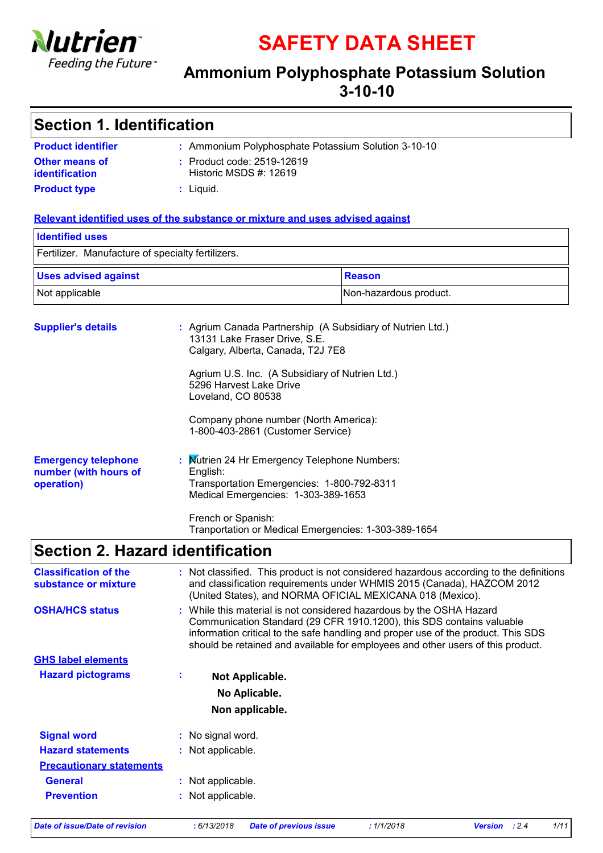

**SAFETY DATA SHEET**

### **Ammonium Polyphosphate Potassium Solution 3-10-10**

| Section 1. Identification               |                                                      |  |
|-----------------------------------------|------------------------------------------------------|--|
| <b>Product identifier</b>               | : Ammonium Polyphosphate Potassium Solution 3-10-10  |  |
| <b>Other means of</b><br>identification | : Product code: 2519-12619<br>Historic MSDS #: 12619 |  |
| <b>Product type</b>                     | $:$ Liquid.                                          |  |

#### **Relevant identified uses of the substance or mixture and uses advised against**

| <b>Identified uses</b>                            |                        |  |
|---------------------------------------------------|------------------------|--|
| Fertilizer. Manufacture of specialty fertilizers. |                        |  |
| <b>Uses advised against</b>                       | Reason                 |  |
| Not applicable                                    | Non-hazardous product. |  |

| <b>Supplier's details</b>                                         | : Agrium Canada Partnership (A Subsidiary of Nutrien Ltd.)<br>13131 Lake Fraser Drive, S.E.<br>Calgary, Alberta, Canada, T2J 7E8              |
|-------------------------------------------------------------------|-----------------------------------------------------------------------------------------------------------------------------------------------|
|                                                                   | Agrium U.S. Inc. (A Subsidiary of Nutrien Ltd.)<br>5296 Harvest Lake Drive<br>Loveland, CO 80538                                              |
|                                                                   | Company phone number (North America):<br>1-800-403-2861 (Customer Service)                                                                    |
| <b>Emergency telephone</b><br>number (with hours of<br>operation) | : Mutrien 24 Hr Emergency Telephone Numbers:<br>English:<br>Transportation Emergencies: 1-800-792-8311<br>Medical Emergencies: 1-303-389-1653 |
|                                                                   | French or Spanish:<br>Tranportation or Medical Emergencies: 1-303-389-1654                                                                    |

### **Section 2. Hazard identification**

| <b>Classification of the</b><br>substance or mixture | : Not classified. This product is not considered hazardous according to the definitions<br>and classification requirements under WHMIS 2015 (Canada), HAZCOM 2012<br>(United States), and NORMA OFICIAL MEXICANA 018 (Mexico).                                                                                        |
|------------------------------------------------------|-----------------------------------------------------------------------------------------------------------------------------------------------------------------------------------------------------------------------------------------------------------------------------------------------------------------------|
| <b>OSHA/HCS status</b>                               | : While this material is not considered hazardous by the OSHA Hazard<br>Communication Standard (29 CFR 1910.1200), this SDS contains valuable<br>information critical to the safe handling and proper use of the product. This SDS<br>should be retained and available for employees and other users of this product. |
| <b>GHS label elements</b>                            |                                                                                                                                                                                                                                                                                                                       |
| <b>Hazard pictograms</b>                             | Not Applicable.                                                                                                                                                                                                                                                                                                       |
|                                                      | No Aplicable.                                                                                                                                                                                                                                                                                                         |
|                                                      | Non applicable.                                                                                                                                                                                                                                                                                                       |
| <b>Signal word</b>                                   | : No signal word.                                                                                                                                                                                                                                                                                                     |
| <b>Hazard statements</b>                             | : Not applicable.                                                                                                                                                                                                                                                                                                     |
| <b>Precautionary statements</b>                      |                                                                                                                                                                                                                                                                                                                       |
| <b>General</b>                                       | : Not applicable.                                                                                                                                                                                                                                                                                                     |
| <b>Prevention</b>                                    | : Not applicable.                                                                                                                                                                                                                                                                                                     |

*Date of issue/Date of revision* **:** *6/13/2018 Date of previous issue : 1/1/2018 Version : 2.4 1/11*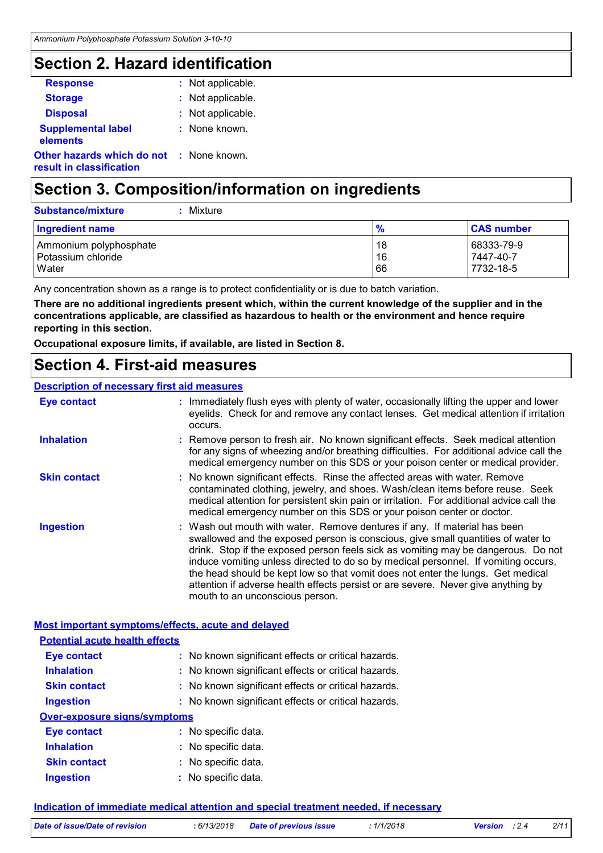### **Section 2. Hazard identification**

| : Not applicable.                               |
|-------------------------------------------------|
| : Not applicable.                               |
| : Not applicable.                               |
| : None known.                                   |
| <b>Other hazards which do not : None known.</b> |
|                                                 |

# **Section 3. Composition/information on ingredients**

| <b>Substance/mixture</b><br>Mixture |               |                        |
|-------------------------------------|---------------|------------------------|
| Ingredient name                     | $\frac{9}{6}$ | <b>CAS number</b>      |
| Ammonium polyphosphate              | 18            | 68333-79-9             |
| Potassium chloride<br>Water         | 16<br>66      | 7447-40-7<br>7732-18-5 |

Any concentration shown as a range is to protect confidentiality or is due to batch variation.

**There are no additional ingredients present which, within the current knowledge of the supplier and in the concentrations applicable, are classified as hazardous to health or the environment and hence require reporting in this section.**

**Occupational exposure limits, if available, are listed in Section 8.**

### **Section 4. First-aid measures**

#### **Description of necessary first aid measures**

| <b>Eye contact</b>                                 |  | : Immediately flush eyes with plenty of water, occasionally lifting the upper and lower<br>eyelids. Check for and remove any contact lenses. Get medical attention if irritation<br>occurs.                                                                                                                                                                                                                                                                                                                                                         |
|----------------------------------------------------|--|-----------------------------------------------------------------------------------------------------------------------------------------------------------------------------------------------------------------------------------------------------------------------------------------------------------------------------------------------------------------------------------------------------------------------------------------------------------------------------------------------------------------------------------------------------|
| <b>Inhalation</b>                                  |  | : Remove person to fresh air. No known significant effects. Seek medical attention<br>for any signs of wheezing and/or breathing difficulties. For additional advice call the<br>medical emergency number on this SDS or your poison center or medical provider.                                                                                                                                                                                                                                                                                    |
| <b>Skin contact</b>                                |  | : No known significant effects. Rinse the affected areas with water. Remove<br>contaminated clothing, jewelry, and shoes. Wash/clean items before reuse. Seek<br>medical attention for persistent skin pain or irritation. For additional advice call the<br>medical emergency number on this SDS or your poison center or doctor.                                                                                                                                                                                                                  |
| <b>Ingestion</b>                                   |  | : Wash out mouth with water. Remove dentures if any. If material has been<br>swallowed and the exposed person is conscious, give small quantities of water to<br>drink. Stop if the exposed person feels sick as vomiting may be dangerous. Do not<br>induce vomiting unless directed to do so by medical personnel. If vomiting occurs,<br>the head should be kept low so that vomit does not enter the lungs. Get medical<br>attention if adverse health effects persist or are severe. Never give anything by<br>mouth to an unconscious person. |
| Most important symptoms/effects, acute and delayed |  |                                                                                                                                                                                                                                                                                                                                                                                                                                                                                                                                                     |

# **Potential acute health effects**

| <b>Eye contact</b>           | : No known significant effects or critical hazards. |  |  |  |  |
|------------------------------|-----------------------------------------------------|--|--|--|--|
| <b>Inhalation</b>            | : No known significant effects or critical hazards. |  |  |  |  |
| <b>Skin contact</b>          | : No known significant effects or critical hazards. |  |  |  |  |
| <b>Ingestion</b>             | : No known significant effects or critical hazards. |  |  |  |  |
| Over-exposure signs/symptoms |                                                     |  |  |  |  |
| <b>Eye contact</b>           | : No specific data.                                 |  |  |  |  |
| <b>Inhalation</b>            | : No specific data.                                 |  |  |  |  |

#### **Skin contact Ingestion** No specific data. **:** No specific data. **:**

#### **Indication of immediate medical attention and special treatment needed, if necessary**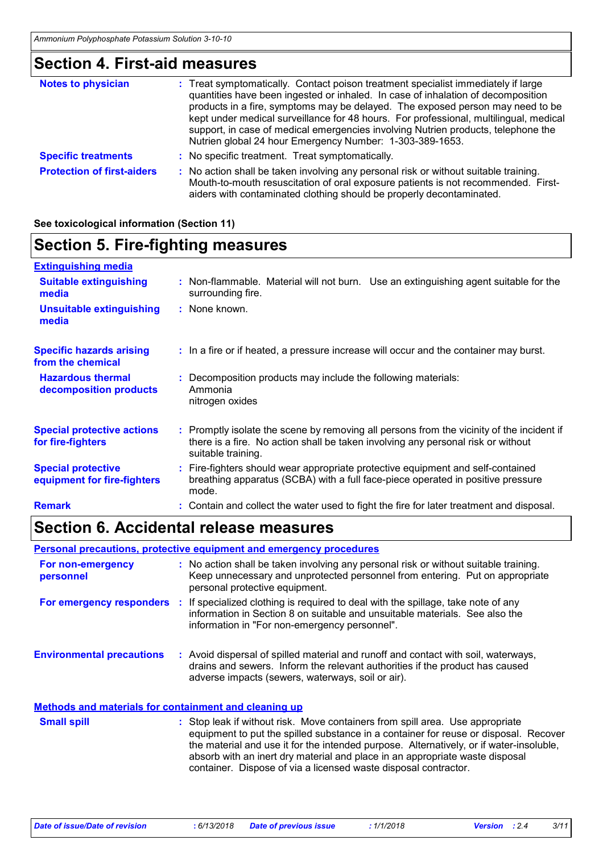# **Section 4. First-aid measures**

| <b>Notes to physician</b>         | : Treat symptomatically. Contact poison treatment specialist immediately if large<br>quantities have been ingested or inhaled. In case of inhalation of decomposition<br>products in a fire, symptoms may be delayed. The exposed person may need to be<br>kept under medical surveillance for 48 hours. For professional, multilingual, medical<br>support, in case of medical emergencies involving Nutrien products, telephone the<br>Nutrien global 24 hour Emergency Number: 1-303-389-1653. |
|-----------------------------------|---------------------------------------------------------------------------------------------------------------------------------------------------------------------------------------------------------------------------------------------------------------------------------------------------------------------------------------------------------------------------------------------------------------------------------------------------------------------------------------------------|
| <b>Specific treatments</b>        | : No specific treatment. Treat symptomatically.                                                                                                                                                                                                                                                                                                                                                                                                                                                   |
| <b>Protection of first-aiders</b> | : No action shall be taken involving any personal risk or without suitable training.<br>Mouth-to-mouth resuscitation of oral exposure patients is not recommended. First-<br>aiders with contaminated clothing should be properly decontaminated.                                                                                                                                                                                                                                                 |

#### **See toxicological information (Section 11)**

# **Section 5. Fire-fighting measures**

| <b>Extinguishing media</b>                               |                                                                                                                                                                                                     |
|----------------------------------------------------------|-----------------------------------------------------------------------------------------------------------------------------------------------------------------------------------------------------|
| <b>Suitable extinguishing</b><br>media                   | : Non-flammable. Material will not burn. Use an extinguishing agent suitable for the<br>surrounding fire.                                                                                           |
| <b>Unsuitable extinguishing</b><br>media                 | : None known.                                                                                                                                                                                       |
| <b>Specific hazards arising</b><br>from the chemical     | : In a fire or if heated, a pressure increase will occur and the container may burst.                                                                                                               |
| <b>Hazardous thermal</b><br>decomposition products       | : Decomposition products may include the following materials:<br>Ammonia<br>nitrogen oxides                                                                                                         |
| <b>Special protective actions</b><br>for fire-fighters   | : Promptly isolate the scene by removing all persons from the vicinity of the incident if<br>there is a fire. No action shall be taken involving any personal risk or without<br>suitable training. |
| <b>Special protective</b><br>equipment for fire-fighters | : Fire-fighters should wear appropriate protective equipment and self-contained<br>breathing apparatus (SCBA) with a full face-piece operated in positive pressure<br>mode.                         |
| <b>Remark</b>                                            | : Contain and collect the water used to fight the fire for later treatment and disposal.                                                                                                            |
|                                                          |                                                                                                                                                                                                     |

### **Section 6. Accidental release measures**

**Personal precautions, protective equipment and emergency procedures**

| For non-emergency<br>personnel                               | : No action shall be taken involving any personal risk or without suitable training.<br>Keep unnecessary and unprotected personnel from entering. Put on appropriate<br>personal protective equipment.                                                                                                                                                                                                              |
|--------------------------------------------------------------|---------------------------------------------------------------------------------------------------------------------------------------------------------------------------------------------------------------------------------------------------------------------------------------------------------------------------------------------------------------------------------------------------------------------|
| For emergency responders                                     | : If specialized clothing is required to deal with the spillage, take note of any<br>information in Section 8 on suitable and unsuitable materials. See also the<br>information in "For non-emergency personnel".                                                                                                                                                                                                   |
| <b>Environmental precautions</b>                             | : Avoid dispersal of spilled material and runoff and contact with soil, waterways,<br>drains and sewers. Inform the relevant authorities if the product has caused<br>adverse impacts (sewers, waterways, soil or air).                                                                                                                                                                                             |
| <b>Methods and materials for containment and cleaning up</b> |                                                                                                                                                                                                                                                                                                                                                                                                                     |
| <b>Small spill</b>                                           | : Stop leak if without risk. Move containers from spill area. Use appropriate<br>equipment to put the spilled substance in a container for reuse or disposal. Recover<br>the material and use it for the intended purpose. Alternatively, or if water-insoluble,<br>absorb with an inert dry material and place in an appropriate waste disposal<br>container. Dispose of via a licensed waste disposal contractor. |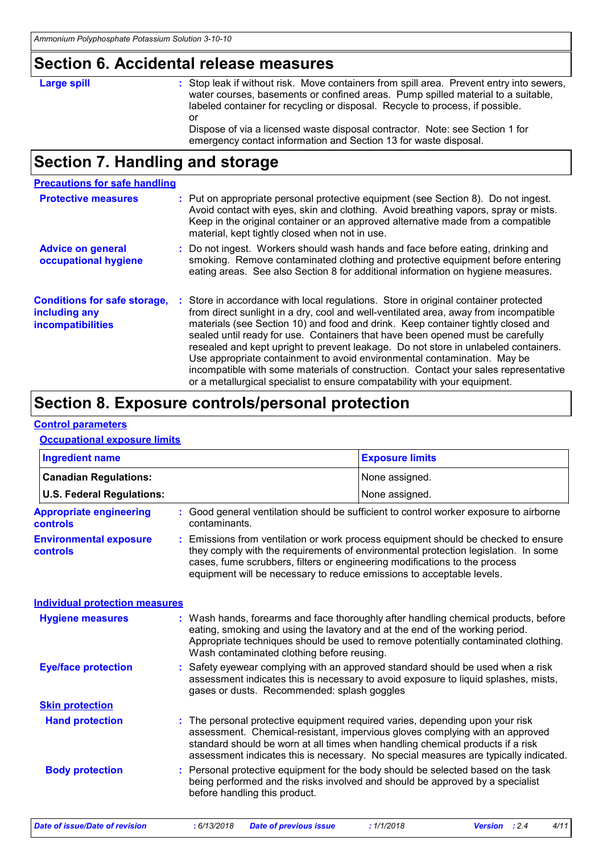### **Section 6. Accidental release measures**

### **Large spill :**

: Stop leak if without risk. Move containers from spill area. Prevent entry into sewers, water courses, basements or confined areas. Pump spilled material to a suitable, labeled container for recycling or disposal. Recycle to process, if possible. or Dispose of via a licensed waste disposal contractor. Note: see Section 1 for

emergency contact information and Section 13 for waste disposal.

# **Section 7. Handling and storage**

#### **Precautions for safe handling**

| <b>Protective measures</b>                                                | : Put on appropriate personal protective equipment (see Section 8). Do not ingest.<br>Avoid contact with eyes, skin and clothing. Avoid breathing vapors, spray or mists.<br>Keep in the original container or an approved alternative made from a compatible<br>material, kept tightly closed when not in use.                                                                                                                                                                                                                                                                                                                                                                           |
|---------------------------------------------------------------------------|-------------------------------------------------------------------------------------------------------------------------------------------------------------------------------------------------------------------------------------------------------------------------------------------------------------------------------------------------------------------------------------------------------------------------------------------------------------------------------------------------------------------------------------------------------------------------------------------------------------------------------------------------------------------------------------------|
| <b>Advice on general</b><br>occupational hygiene                          | : Do not ingest. Workers should wash hands and face before eating, drinking and<br>smoking. Remove contaminated clothing and protective equipment before entering<br>eating areas. See also Section 8 for additional information on hygiene measures.                                                                                                                                                                                                                                                                                                                                                                                                                                     |
| <b>Conditions for safe storage,</b><br>including any<br>incompatibilities | : Store in accordance with local regulations. Store in original container protected<br>from direct sunlight in a dry, cool and well-ventilated area, away from incompatible<br>materials (see Section 10) and food and drink. Keep container tightly closed and<br>sealed until ready for use. Containers that have been opened must be carefully<br>resealed and kept upright to prevent leakage. Do not store in unlabeled containers.<br>Use appropriate containment to avoid environmental contamination. May be<br>incompatible with some materials of construction. Contact your sales representative<br>or a metallurgical specialist to ensure compatability with your equipment. |

### **Section 8. Exposure controls/personal protection**

#### **Control parameters**

#### **Occupational exposure limits**

| <b>Ingredient name</b>                            |  |                                                                                                                                                     | <b>Exposure limits</b>                                                                                                                                                                                                                                                                                                                  |  |
|---------------------------------------------------|--|-----------------------------------------------------------------------------------------------------------------------------------------------------|-----------------------------------------------------------------------------------------------------------------------------------------------------------------------------------------------------------------------------------------------------------------------------------------------------------------------------------------|--|
| <b>Canadian Regulations:</b>                      |  |                                                                                                                                                     | None assigned.                                                                                                                                                                                                                                                                                                                          |  |
| <b>U.S. Federal Regulations:</b>                  |  |                                                                                                                                                     | None assigned.                                                                                                                                                                                                                                                                                                                          |  |
| <b>Appropriate engineering</b><br><b>controls</b> |  | contaminants.                                                                                                                                       | : Good general ventilation should be sufficient to control worker exposure to airborne                                                                                                                                                                                                                                                  |  |
| <b>Environmental exposure</b><br><b>controls</b>  |  | cases, fume scrubbers, filters or engineering modifications to the process<br>equipment will be necessary to reduce emissions to acceptable levels. | : Emissions from ventilation or work process equipment should be checked to ensure<br>they comply with the requirements of environmental protection legislation. In some                                                                                                                                                                |  |
| <b>Individual protection measures</b>             |  |                                                                                                                                                     |                                                                                                                                                                                                                                                                                                                                         |  |
| <b>Hygiene measures</b>                           |  | Wash contaminated clothing before reusing.                                                                                                          | : Wash hands, forearms and face thoroughly after handling chemical products, before<br>eating, smoking and using the lavatory and at the end of the working period.<br>Appropriate techniques should be used to remove potentially contaminated clothing.                                                                               |  |
| <b>Eye/face protection</b>                        |  | gases or dusts. Recommended: splash goggles                                                                                                         | : Safety eyewear complying with an approved standard should be used when a risk<br>assessment indicates this is necessary to avoid exposure to liquid splashes, mists,                                                                                                                                                                  |  |
| <b>Skin protection</b>                            |  |                                                                                                                                                     |                                                                                                                                                                                                                                                                                                                                         |  |
| <b>Hand protection</b>                            |  |                                                                                                                                                     | : The personal protective equipment required varies, depending upon your risk<br>assessment. Chemical-resistant, impervious gloves complying with an approved<br>standard should be worn at all times when handling chemical products if a risk<br>assessment indicates this is necessary. No special measures are typically indicated. |  |
| <b>Body protection</b>                            |  | before handling this product.                                                                                                                       | : Personal protective equipment for the body should be selected based on the task<br>being performed and the risks involved and should be approved by a specialist                                                                                                                                                                      |  |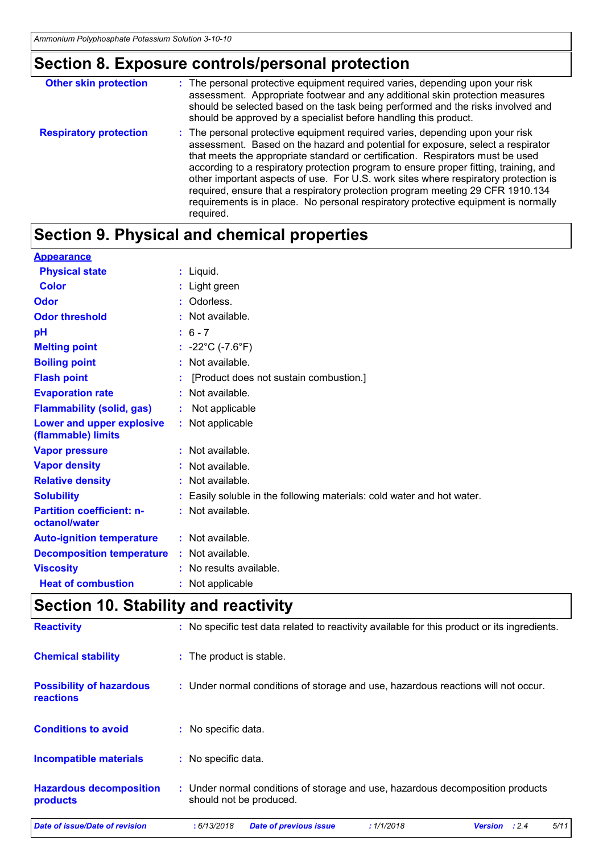# **Section 8. Exposure controls/personal protection**

| <b>Other skin protection</b>  | : The personal protective equipment required varies, depending upon your risk<br>assessment. Appropriate footwear and any additional skin protection measures<br>should be selected based on the task being performed and the risks involved and<br>should be approved by a specialist before handling this product.                                                                                                                                                                                                                                                                                                    |
|-------------------------------|-------------------------------------------------------------------------------------------------------------------------------------------------------------------------------------------------------------------------------------------------------------------------------------------------------------------------------------------------------------------------------------------------------------------------------------------------------------------------------------------------------------------------------------------------------------------------------------------------------------------------|
| <b>Respiratory protection</b> | : The personal protective equipment required varies, depending upon your risk<br>assessment. Based on the hazard and potential for exposure, select a respirator<br>that meets the appropriate standard or certification. Respirators must be used<br>according to a respiratory protection program to ensure proper fitting, training, and<br>other important aspects of use. For U.S. work sites where respiratory protection is<br>required, ensure that a respiratory protection program meeting 29 CFR 1910.134<br>requirements is in place. No personal respiratory protective equipment is normally<br>required. |

# **Section 9. Physical and chemical properties**

| <b>Appearance</b>                                 |                                                                        |
|---------------------------------------------------|------------------------------------------------------------------------|
| <b>Physical state</b>                             | $:$ Liquid.                                                            |
| <b>Color</b>                                      | : Light green                                                          |
| Odor                                              | : Odorless.                                                            |
| <b>Odor threshold</b>                             | : Not available.                                                       |
| pH                                                | $: 6 - 7$                                                              |
| <b>Melting point</b>                              | : $-22^{\circ}$ C (-7.6 $^{\circ}$ F)                                  |
| <b>Boiling point</b>                              | : Not available.                                                       |
| <b>Flash point</b>                                | [Product does not sustain combustion.]                                 |
| <b>Evaporation rate</b>                           | : Not available.                                                       |
| <b>Flammability (solid, gas)</b>                  | Not applicable                                                         |
| Lower and upper explosive<br>(flammable) limits   | : Not applicable                                                       |
| <b>Vapor pressure</b>                             | : Not available.                                                       |
| <b>Vapor density</b>                              | : Not available.                                                       |
| <b>Relative density</b>                           | : Not available.                                                       |
| <b>Solubility</b>                                 | : Easily soluble in the following materials: cold water and hot water. |
| <b>Partition coefficient: n-</b><br>octanol/water | : Not available.                                                       |
| <b>Auto-ignition temperature</b>                  | : Not available.                                                       |
| <b>Decomposition temperature</b>                  | : Not available.                                                       |
| <b>Viscosity</b>                                  | : No results available.                                                |
| <b>Heat of combustion</b>                         | : Not applicable                                                       |
|                                                   |                                                                        |

### **Section 10. Stability and reactivity**

| <b>Reactivity</b>                            |                          | : No specific test data related to reactivity available for this product or its ingredients. |                               |  |                                                                                   |                |       |      |
|----------------------------------------------|--------------------------|----------------------------------------------------------------------------------------------|-------------------------------|--|-----------------------------------------------------------------------------------|----------------|-------|------|
| <b>Chemical stability</b>                    | : The product is stable. |                                                                                              |                               |  |                                                                                   |                |       |      |
| <b>Possibility of hazardous</b><br>reactions |                          |                                                                                              |                               |  | : Under normal conditions of storage and use, hazardous reactions will not occur. |                |       |      |
| <b>Conditions to avoid</b>                   | No specific data.<br>÷.  |                                                                                              |                               |  |                                                                                   |                |       |      |
| <b>Incompatible materials</b>                | : No specific data.      |                                                                                              |                               |  |                                                                                   |                |       |      |
| <b>Hazardous decomposition</b><br>products   |                          |                                                                                              | should not be produced.       |  | : Under normal conditions of storage and use, hazardous decomposition products    |                |       |      |
| Date of issue/Date of revision               | : 6/13/2018              |                                                                                              | <b>Date of previous issue</b> |  | : 1/1/2018                                                                        | <b>Version</b> | : 2.4 | 5/11 |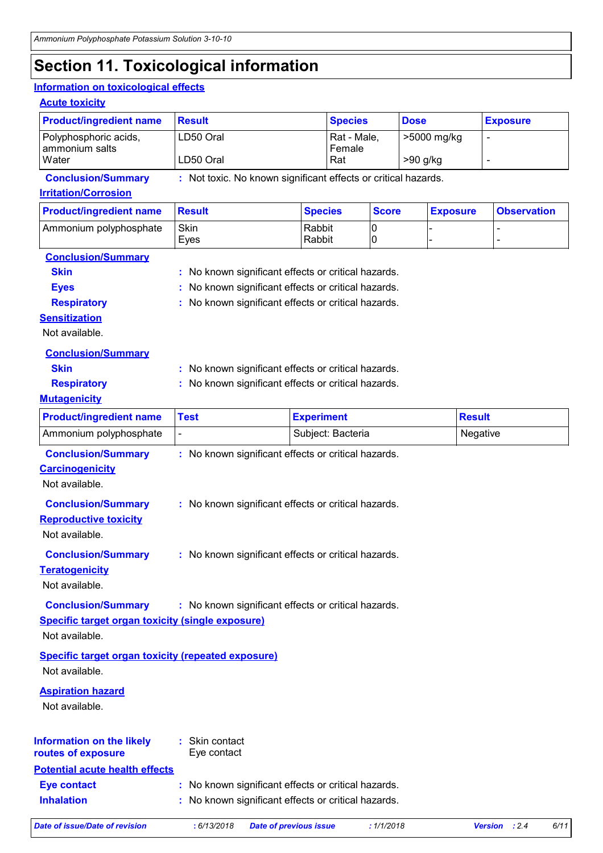# **Section 11. Toxicological information**

#### **Information on toxicological effects**

#### **Acute toxicity**

| <b>Product/ingredient name</b>          | Result    | <b>Species</b>        | <b>Dose</b> | <b>Exposure</b> |
|-----------------------------------------|-----------|-----------------------|-------------|-----------------|
| Polyphosphoric acids,<br>ammonium salts | LD50 Oral | Rat - Male,<br>Female | >5000 mg/kg |                 |
| Water                                   | LD50 Oral | Rat                   | $>90$ g/kg  |                 |

**Conclusion/Summary :** Not toxic. No known significant effects or critical hazards.

**Irritation/Corrosion**

| <b>Product/ingredient name</b> | ⊪Result | <b>Species</b> | <b>Score</b> | <b>Exposure</b> | <b>Observation</b> |
|--------------------------------|---------|----------------|--------------|-----------------|--------------------|
| Ammonium polyphosphate         | Skin    | Rabbit         | IC           |                 |                    |
|                                | Eves    | Rabbit         | IC           |                 |                    |

#### **Conclusion/Summary**

| <b>Skin</b>        | : No known significant effects or critical hazards. |
|--------------------|-----------------------------------------------------|
| Eves               | : No known significant effects or critical hazards. |
| <b>Respiratory</b> | : No known significant effects or critical hazards. |

**Sensitization**

Not available.

| <b>Conclusion/Summary</b> |                                                     |
|---------------------------|-----------------------------------------------------|
| <b>Skin</b>               | : No known significant effects or critical hazards. |
| <b>Respiratory</b>        | : No known significant effects or critical hazards. |
| <b>Mutagenicity</b>       |                                                     |

| <b>Product/ingredient name</b>                                                                         | <b>Test</b>                                         | <b>Experiment</b>                                                                                          | <b>Result</b> |  |  |
|--------------------------------------------------------------------------------------------------------|-----------------------------------------------------|------------------------------------------------------------------------------------------------------------|---------------|--|--|
| Ammonium polyphosphate                                                                                 | $\blacksquare$                                      | Subject: Bacteria                                                                                          | Negative      |  |  |
| <b>Conclusion/Summary</b><br><b>Carcinogenicity</b><br>Not available.                                  | : No known significant effects or critical hazards. |                                                                                                            |               |  |  |
| <b>Conclusion/Summary</b><br><b>Reproductive toxicity</b><br>Not available.                            | : No known significant effects or critical hazards. |                                                                                                            |               |  |  |
| <b>Conclusion/Summary</b><br><b>Teratogenicity</b><br>Not available.                                   | : No known significant effects or critical hazards. |                                                                                                            |               |  |  |
| <b>Conclusion/Summary</b><br><b>Specific target organ toxicity (single exposure)</b><br>Not available. | : No known significant effects or critical hazards. |                                                                                                            |               |  |  |
| <b>Specific target organ toxicity (repeated exposure)</b><br>Not available.                            |                                                     |                                                                                                            |               |  |  |
| <b>Aspiration hazard</b><br>Not available.                                                             |                                                     |                                                                                                            |               |  |  |
| <b>Information on the likely</b><br>routes of exposure                                                 | : Skin contact<br>Eye contact                       |                                                                                                            |               |  |  |
| <b>Potential acute health effects</b><br><b>Eye contact</b><br><b>Inhalation</b>                       |                                                     | : No known significant effects or critical hazards.<br>: No known significant effects or critical hazards. |               |  |  |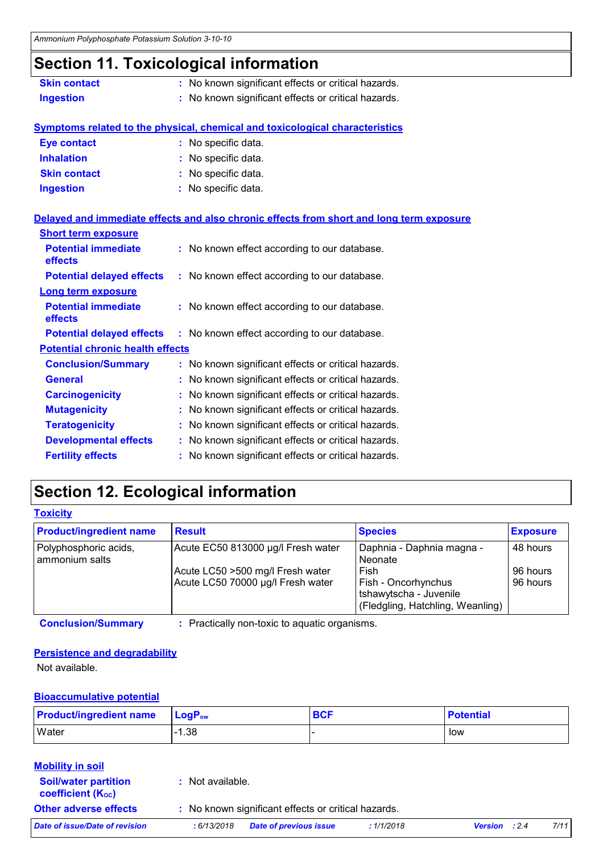# **Section 11. Toxicological information**

| <b>Skin contact</b> | : No known significant effects or critical hazards. |
|---------------------|-----------------------------------------------------|
| Ingestion           | : No known significant effects or critical hazards. |

### **Symptoms related to the physical, chemical and toxicological characteristics**

| <b>Eye contact</b>  | : No specific data. |
|---------------------|---------------------|
| <b>Inhalation</b>   | : No specific data. |
| <b>Skin contact</b> | : No specific data. |
| <b>Ingestion</b>    | : No specific data. |

#### **Delayed and immediate effects and also chronic effects from short and long term exposure**

| <b>Short term exposure</b>              |                                                     |
|-----------------------------------------|-----------------------------------------------------|
| <b>Potential immediate</b><br>effects   | : No known effect according to our database.        |
| <b>Potential delayed effects</b>        | : No known effect according to our database.        |
| <b>Long term exposure</b>               |                                                     |
| <b>Potential immediate</b><br>effects   | : No known effect according to our database.        |
| <b>Potential delayed effects</b>        | : No known effect according to our database.        |
| <b>Potential chronic health effects</b> |                                                     |
| <b>Conclusion/Summary</b>               | : No known significant effects or critical hazards. |
| <b>General</b>                          | : No known significant effects or critical hazards. |
| <b>Carcinogenicity</b>                  | : No known significant effects or critical hazards. |
| <b>Mutagenicity</b>                     | : No known significant effects or critical hazards. |
| <b>Teratogenicity</b>                   | : No known significant effects or critical hazards. |
| <b>Developmental effects</b>            | : No known significant effects or critical hazards. |
| <b>Fertility effects</b>                | : No known significant effects or critical hazards. |

# **Section 12. Ecological information**

| <b>Product/ingredient name</b>          | <b>Result</b>                      | <b>Species</b>                                                                    | <b>Exposure</b> |
|-----------------------------------------|------------------------------------|-----------------------------------------------------------------------------------|-----------------|
| Polyphosphoric acids,<br>ammonium salts | Acute EC50 813000 µg/l Fresh water | Daphnia - Daphnia magna -<br>Neonate                                              | 48 hours        |
|                                         | Acute LC50 >500 mg/l Fresh water   | Fish                                                                              | 96 hours        |
|                                         | Acute LC50 70000 µg/l Fresh water  | Fish - Oncorhynchus<br>tshawytscha - Juvenile<br>(Fledgling, Hatchling, Weanling) | 96 hours        |

**Conclusion/Summary :** Practically non-toxic to aquatic organisms.

#### **Persistence and degradability**

Not available.

#### **Bioaccumulative potential**

| <b>Product/ingredient name</b> | $\mathsf{LoaP}_\mathsf{ow}$ | <b>BCF</b> | <b>Potential</b> |
|--------------------------------|-----------------------------|------------|------------------|
| <b>Water</b>                   | $-1.38$                     |            | low              |

#### **Soil/water partition Mobility in soil**

coefficient (Koc)

**:** Not available.

**Other adverse effects** : No known significant effects or critical hazards.

| Date of issue/Date of revision | :6/13/2018 | <b>Date of previous issue</b> | : 1/1/2018 | <b>Version</b> : 2.4 | 7/11 |
|--------------------------------|------------|-------------------------------|------------|----------------------|------|
|                                |            |                               |            |                      |      |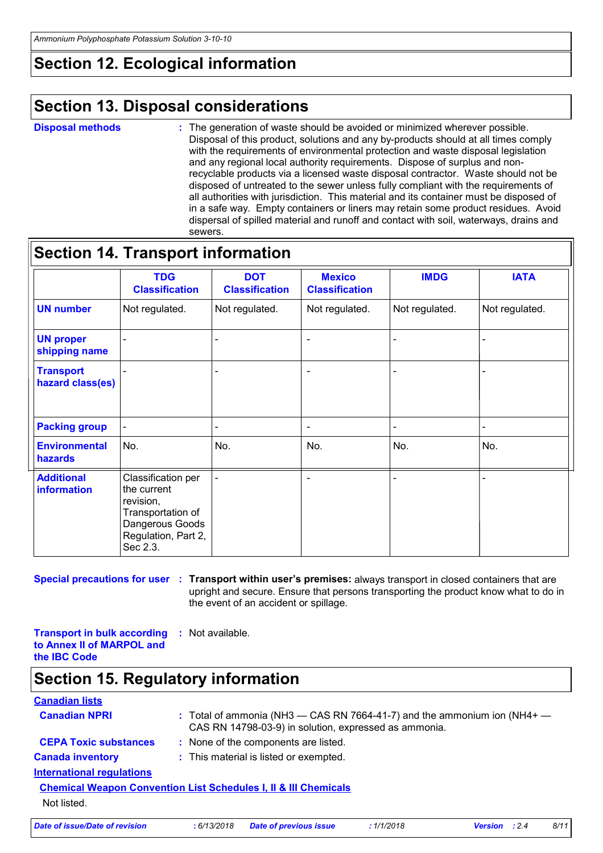# **Section 12. Ecological information**

# **Section 13. Disposal considerations**

#### **Disposal methods :**

The generation of waste should be avoided or minimized wherever possible. Disposal of this product, solutions and any by-products should at all times comply with the requirements of environmental protection and waste disposal legislation and any regional local authority requirements. Dispose of surplus and nonrecyclable products via a licensed waste disposal contractor. Waste should not be disposed of untreated to the sewer unless fully compliant with the requirements of all authorities with jurisdiction. This material and its container must be disposed of in a safe way. Empty containers or liners may retain some product residues. Avoid dispersal of spilled material and runoff and contact with soil, waterways, drains and sewers.

### **Section 14. Transport information**

|                                      | <b>TDG</b><br><b>Classification</b>                                                                                       | <b>DOT</b><br><b>Classification</b> | <b>Mexico</b><br><b>Classification</b> | <b>IMDG</b>    | <b>IATA</b>    |
|--------------------------------------|---------------------------------------------------------------------------------------------------------------------------|-------------------------------------|----------------------------------------|----------------|----------------|
| <b>UN number</b>                     | Not regulated.                                                                                                            | Not regulated.                      | Not regulated.                         | Not regulated. | Not regulated. |
| <b>UN proper</b><br>shipping name    |                                                                                                                           |                                     |                                        |                |                |
| <b>Transport</b><br>hazard class(es) |                                                                                                                           |                                     |                                        |                |                |
| <b>Packing group</b>                 | $\qquad \qquad \blacksquare$                                                                                              |                                     |                                        |                |                |
| <b>Environmental</b><br>hazards      | No.                                                                                                                       | No.                                 | No.                                    | No.            | No.            |
| <b>Additional</b><br>information     | Classification per<br>the current<br>revision,<br>Transportation of<br>Dangerous Goods<br>Regulation, Part 2,<br>Sec 2.3. |                                     |                                        |                |                |

**Special precautions for user Transport within user's premises:** always transport in closed containers that are **:** upright and secure. Ensure that persons transporting the product know what to do in the event of an accident or spillage.

**Transport in bulk according :** Not available. **to Annex II of MARPOL and the IBC Code**

# **Section 15. Regulatory information**

| <b>Canadian lists</b>                                                      |            |                                                       |           |                                                                              |
|----------------------------------------------------------------------------|------------|-------------------------------------------------------|-----------|------------------------------------------------------------------------------|
| <b>Canadian NPRI</b>                                                       |            | CAS RN 14798-03-9) in solution, expressed as ammonia. |           | : Total of ammonia (NH3 $-$ CAS RN 7664-41-7) and the ammonium ion (NH4+ $-$ |
| <b>CEPA Toxic substances</b>                                               |            | : None of the components are listed.                  |           |                                                                              |
| <b>Canada inventory</b>                                                    |            | : This material is listed or exempted.                |           |                                                                              |
| <b>International requlations</b>                                           |            |                                                       |           |                                                                              |
| <b>Chemical Weapon Convention List Schedules I, II &amp; III Chemicals</b> |            |                                                       |           |                                                                              |
| Not listed.                                                                |            |                                                       |           |                                                                              |
| Date of issue/Date of revision                                             | :6/13/2018 | <b>Date of previous issue</b>                         | :1/1/2018 | 8/11<br>: 2.4<br>Version                                                     |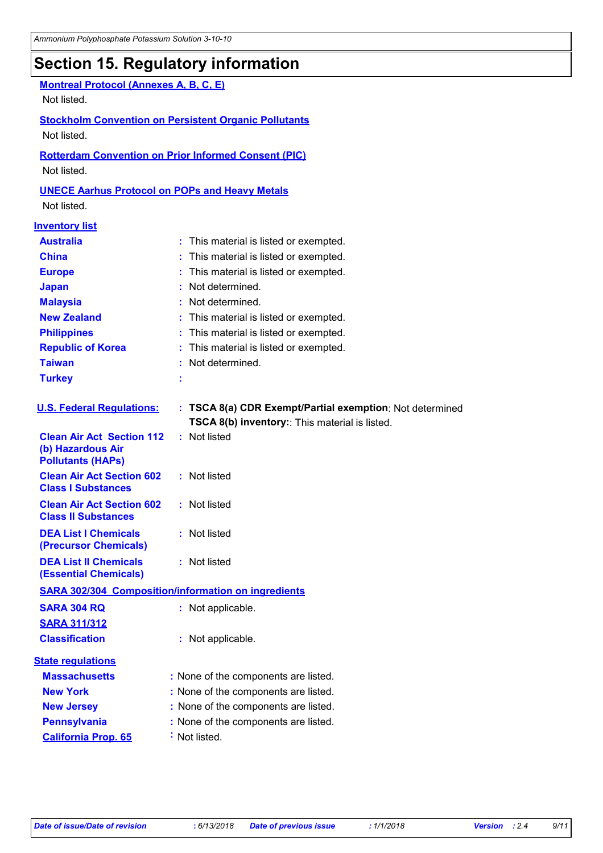### **Section 15. Regulatory information**

### **Montreal Protocol (Annexes A, B, C, E)**

Not listed.

#### **Stockholm Convention on Persistent Organic Pollutants**

Not listed.

#### **Rotterdam Convention on Prior Informed Consent (PIC)**

Not listed.

#### **UNECE Aarhus Protocol on POPs and Heavy Metals**

Not listed.

#### **Inventory list**

| <u>mit vinly nol</u>                                                              |                                                                                                           |
|-----------------------------------------------------------------------------------|-----------------------------------------------------------------------------------------------------------|
| <b>Australia</b>                                                                  | : This material is listed or exempted.                                                                    |
| <b>China</b>                                                                      | This material is listed or exempted.                                                                      |
| <b>Europe</b>                                                                     | This material is listed or exempted.                                                                      |
| <b>Japan</b>                                                                      | Not determined.                                                                                           |
| <b>Malaysia</b>                                                                   | : Not determined.                                                                                         |
| <b>New Zealand</b>                                                                | : This material is listed or exempted.                                                                    |
| <b>Philippines</b>                                                                | This material is listed or exempted.                                                                      |
| <b>Republic of Korea</b>                                                          | This material is listed or exempted.                                                                      |
| <b>Taiwan</b>                                                                     | : Not determined.                                                                                         |
| <b>Turkey</b>                                                                     |                                                                                                           |
| <b>U.S. Federal Regulations:</b>                                                  | : TSCA 8(a) CDR Exempt/Partial exemption: Not determined<br>TSCA 8(b) inventory: This material is listed. |
| <b>Clean Air Act Section 112</b><br>(b) Hazardous Air<br><b>Pollutants (HAPs)</b> | : Not listed                                                                                              |
| <b>Clean Air Act Section 602</b><br><b>Class I Substances</b>                     | : Not listed                                                                                              |
| <b>Clean Air Act Section 602</b><br><b>Class II Substances</b>                    | : Not listed                                                                                              |
| <b>DEA List I Chemicals</b><br>(Precursor Chemicals)                              | : Not listed                                                                                              |
| <b>DEA List II Chemicals</b><br><b>(Essential Chemicals)</b>                      | : Not listed                                                                                              |
|                                                                                   | <b>SARA 302/304 Composition/information on ingredients</b>                                                |
| <b>SARA 304 RQ</b>                                                                | : Not applicable.                                                                                         |
| <b>SARA 311/312</b>                                                               |                                                                                                           |
| <b>Classification</b>                                                             | : Not applicable.                                                                                         |
| <b>State regulations</b>                                                          |                                                                                                           |
| <b>Massachusetts</b>                                                              | : None of the components are listed.                                                                      |
| <b>New York</b>                                                                   | : None of the components are listed.                                                                      |
| <b>New Jersey</b>                                                                 | : None of the components are listed.                                                                      |
| <b>Pennsylvania</b>                                                               | : None of the components are listed.                                                                      |
| <b>California Prop. 65</b>                                                        | : Not listed.                                                                                             |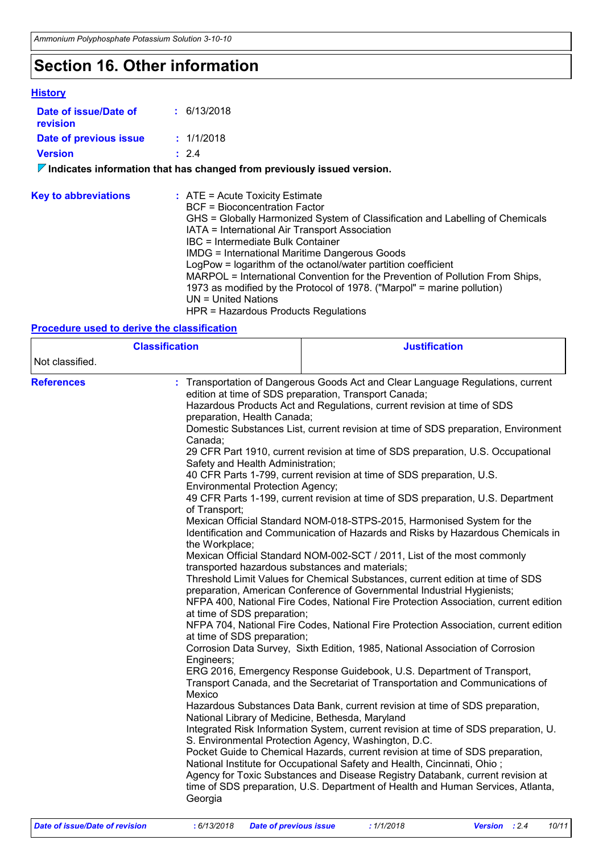# **Section 16. Other information**

#### **History**

 $\mathbf{r}$ 

| Date of issue/Date of<br>revision                                               | : 6/13/2018                                                                                                                                                                                                                                                                                                                                                                                                                                                                                                                                                                                        |  |  |  |  |
|---------------------------------------------------------------------------------|----------------------------------------------------------------------------------------------------------------------------------------------------------------------------------------------------------------------------------------------------------------------------------------------------------------------------------------------------------------------------------------------------------------------------------------------------------------------------------------------------------------------------------------------------------------------------------------------------|--|--|--|--|
| Date of previous issue                                                          | : 1/1/2018                                                                                                                                                                                                                                                                                                                                                                                                                                                                                                                                                                                         |  |  |  |  |
| <b>Version</b>                                                                  | : 2.4                                                                                                                                                                                                                                                                                                                                                                                                                                                                                                                                                                                              |  |  |  |  |
| $\nabla$ Indicates information that has changed from previously issued version. |                                                                                                                                                                                                                                                                                                                                                                                                                                                                                                                                                                                                    |  |  |  |  |
| <b>Key to abbreviations</b>                                                     | $\therefore$ ATE = Acute Toxicity Estimate<br>BCF = Bioconcentration Factor<br>GHS = Globally Harmonized System of Classification and Labelling of Chemicals<br>IATA = International Air Transport Association<br>IBC = Intermediate Bulk Container<br>IMDG = International Maritime Dangerous Goods<br>LogPow = logarithm of the octanol/water partition coefficient<br>MARPOL = International Convention for the Prevention of Pollution From Ships,<br>1973 as modified by the Protocol of 1978. ("Marpol" = marine pollution)<br>$UN = United Nations$<br>HPR = Hazardous Products Regulations |  |  |  |  |

#### **Procedure used to derive the classification**

| <b>Classification</b> |                                                                                                                                                                                                                                                                                                                                                                   | <b>Justification</b>                                                                                                                                                                                                                                                                                                                                                                                                                                                                                                                                                                                                                                                                                                                                                                                                                                                                                                                                                                                                                                                                                                                                                                                                                                                                                                                                                                                                                                                                                                                                                                                                                                                                                                                                                                                                                                                                                                                                       |  |  |
|-----------------------|-------------------------------------------------------------------------------------------------------------------------------------------------------------------------------------------------------------------------------------------------------------------------------------------------------------------------------------------------------------------|------------------------------------------------------------------------------------------------------------------------------------------------------------------------------------------------------------------------------------------------------------------------------------------------------------------------------------------------------------------------------------------------------------------------------------------------------------------------------------------------------------------------------------------------------------------------------------------------------------------------------------------------------------------------------------------------------------------------------------------------------------------------------------------------------------------------------------------------------------------------------------------------------------------------------------------------------------------------------------------------------------------------------------------------------------------------------------------------------------------------------------------------------------------------------------------------------------------------------------------------------------------------------------------------------------------------------------------------------------------------------------------------------------------------------------------------------------------------------------------------------------------------------------------------------------------------------------------------------------------------------------------------------------------------------------------------------------------------------------------------------------------------------------------------------------------------------------------------------------------------------------------------------------------------------------------------------------|--|--|
| Not classified.       |                                                                                                                                                                                                                                                                                                                                                                   |                                                                                                                                                                                                                                                                                                                                                                                                                                                                                                                                                                                                                                                                                                                                                                                                                                                                                                                                                                                                                                                                                                                                                                                                                                                                                                                                                                                                                                                                                                                                                                                                                                                                                                                                                                                                                                                                                                                                                            |  |  |
| <b>References</b>     | preparation, Health Canada;<br>Canada:<br>Safety and Health Administration;<br><b>Environmental Protection Agency;</b><br>of Transport;<br>the Workplace;<br>transported hazardous substances and materials;<br>at time of SDS preparation;<br>at time of SDS preparation;<br>Engineers;<br>Mexico<br>National Library of Medicine, Bethesda, Maryland<br>Georgia | Transportation of Dangerous Goods Act and Clear Language Regulations, current<br>edition at time of SDS preparation, Transport Canada;<br>Hazardous Products Act and Regulations, current revision at time of SDS<br>Domestic Substances List, current revision at time of SDS preparation, Environment<br>29 CFR Part 1910, current revision at time of SDS preparation, U.S. Occupational<br>40 CFR Parts 1-799, current revision at time of SDS preparation, U.S.<br>49 CFR Parts 1-199, current revision at time of SDS preparation, U.S. Department<br>Mexican Official Standard NOM-018-STPS-2015, Harmonised System for the<br>Identification and Communication of Hazards and Risks by Hazardous Chemicals in<br>Mexican Official Standard NOM-002-SCT / 2011, List of the most commonly<br>Threshold Limit Values for Chemical Substances, current edition at time of SDS<br>preparation, American Conference of Governmental Industrial Hygienists;<br>NFPA 400, National Fire Codes, National Fire Protection Association, current edition<br>NFPA 704, National Fire Codes, National Fire Protection Association, current edition<br>Corrosion Data Survey, Sixth Edition, 1985, National Association of Corrosion<br>ERG 2016, Emergency Response Guidebook, U.S. Department of Transport,<br>Transport Canada, and the Secretariat of Transportation and Communications of<br>Hazardous Substances Data Bank, current revision at time of SDS preparation,<br>Integrated Risk Information System, current revision at time of SDS preparation, U.<br>S. Environmental Protection Agency, Washington, D.C.<br>Pocket Guide to Chemical Hazards, current revision at time of SDS preparation,<br>National Institute for Occupational Safety and Health, Cincinnati, Ohio;<br>Agency for Toxic Substances and Disease Registry Databank, current revision at<br>time of SDS preparation, U.S. Department of Health and Human Services, Atlanta, |  |  |